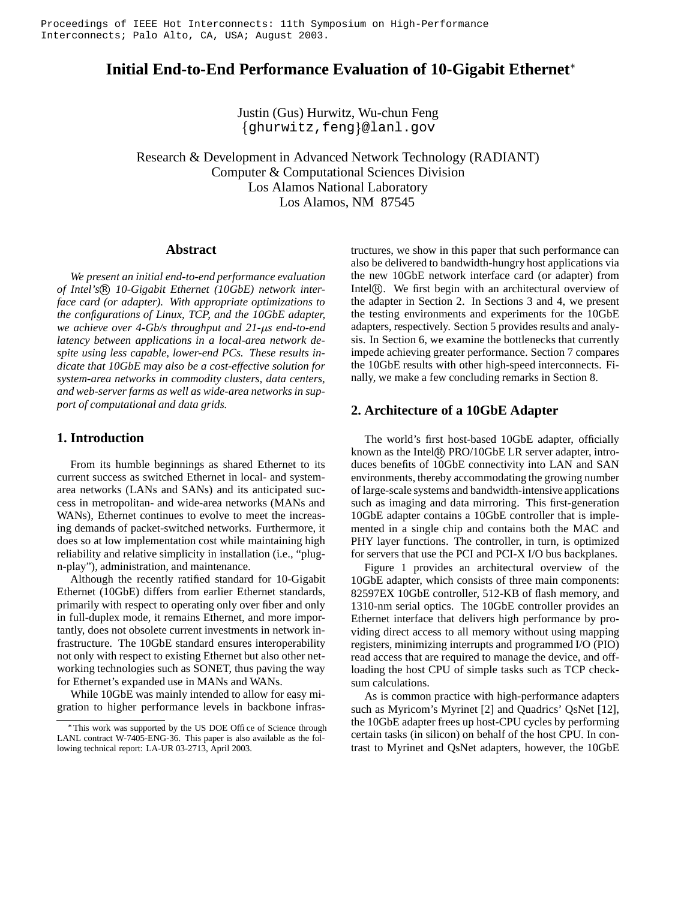# **Initial End-to-End Performance Evaluation of 10-Gigabit Ethernet**

Justin (Gus) Hurwitz, Wu-chun Feng {ghurwitz,feng}@lanl.gov

Research & Development in Advanced Network Technology (RADIANT) Computer & Computational Sciences Division Los Alamos National Laboratory Los Alamos, NM 87545

# **Abstract**

*We present an initial end-to-end performance evaluation of Intel's* R *10-Gigabit Ethernet (10GbE) network interface card (or adapter). With appropriate optimizations to the configurations of Linux, TCP, and the 10GbE adapter, we achieve over 4-Gb/s throughput and 21-s end-to-end latency between applications in a local-area network despite using less capable, lower-end PCs. These results indicate that 10GbE may also be a cost-effective solution for system-area networks in commodity clusters, data centers, and web-server farms as well as wide-area networks in support of computational and data grids.*

# **1. Introduction**

From its humble beginnings as shared Ethernet to its current success as switched Ethernet in local- and systemarea networks (LANs and SANs) and its anticipated success in metropolitan- and wide-area networks (MANs and WANs), Ethernet continues to evolve to meet the increasing demands of packet-switched networks. Furthermore, it does so at low implementation cost while maintaining high reliability and relative simplicity in installation (i.e., "plugn-play"), administration, and maintenance.

Although the recently ratified standard for 10-Gigabit Ethernet (10GbE) differs from earlier Ethernet standards, primarily with respect to operating only over fiber and only in full-duplex mode, it remains Ethernet, and more importantly, does not obsolete current investments in network infrastructure. The 10GbE standard ensures interoperability not only with respect to existing Ethernet but also other networking technologies such as SONET, thus paving the way for Ethernet's expanded use in MANs and WANs.

While 10GbE was mainly intended to allow for easy migration to higher performance levels in backbone infrastructures, we show in this paper that such performance can also be delivered to bandwidth-hungry host applications via the new 10GbE network interface card (or adapter) from Intel®. We first begin with an architectural overview of the adapter in Section 2. In Sections 3 and 4, we present the testing environments and experiments for the 10GbE adapters, respectively. Section 5 provides results and analysis. In Section 6, we examine the bottlenecks that currently impede achieving greater performance. Section 7 compares the 10GbE results with other high-speed interconnects. Finally, we make a few concluding remarks in Section 8.

# **2. Architecture of a 10GbE Adapter**

The world's first host-based 10GbE adapter, officially known as the Intel® PRO/10GbE LR server adapter, introduces benefits of 10GbE connectivity into LAN and SAN environments, thereby accommodating the growing number of large-scale systems and bandwidth-intensive applications such as imaging and data mirroring. This first-generation 10GbE adapter contains a 10GbE controller that is implemented in a single chip and contains both the MAC and PHY layer functions. The controller, in turn, is optimized for servers that use the PCI and PCI-X I/O bus backplanes.

Figure 1 provides an architectural overview of the 10GbE adapter, which consists of three main components: 82597EX 10GbE controller, 512-KB of flash memory, and 1310-nm serial optics. The 10GbE controller provides an Ethernet interface that delivers high performance by providing direct access to all memory without using mapping registers, minimizing interrupts and programmed I/O (PIO) read access that are required to manage the device, and offloading the host CPU of simple tasks such as TCP checksum calculations.

As is common practice with high-performance adapters such as Myricom's Myrinet [2] and Quadrics' QsNet [12], the 10GbE adapter frees up host-CPU cycles by performing certain tasks (in silicon) on behalf of the host CPU. In contrast to Myrinet and QsNet adapters, however, the 10GbE

This work was supported by the US DOE Office of Science through LANL contract W-7405-ENG-36. This paper is also available as the following technical report: LA-UR 03-2713, April 2003.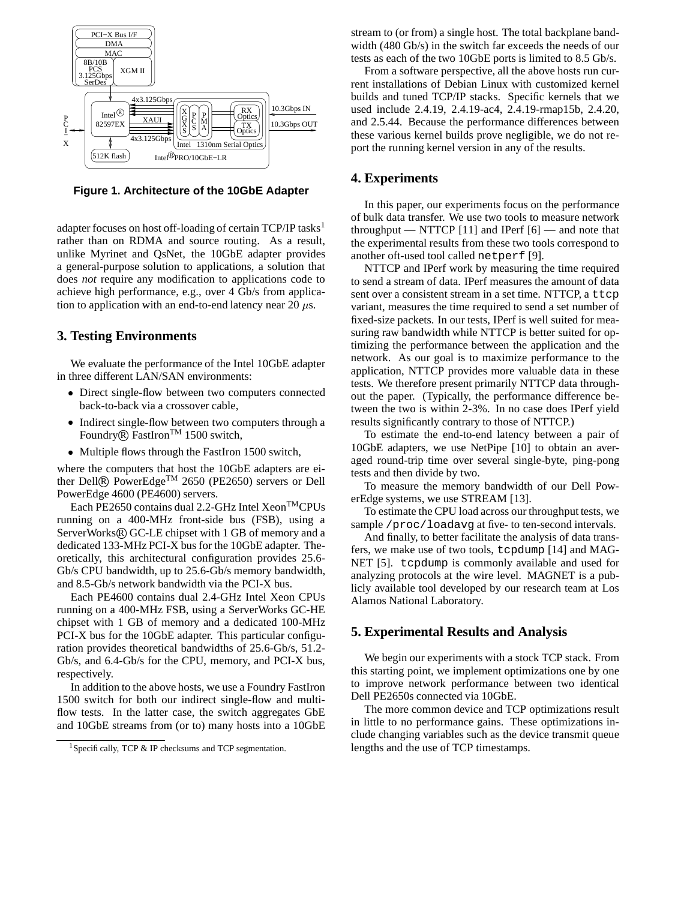

**Figure 1. Architecture of the 10GbE Adapter**

adapter focuses on host off-loading of certain TCP/IP tasks<sup>1</sup> rather than on RDMA and source routing. As a result, unlike Myrinet and QsNet, the 10GbE adapter provides a general-purpose solution to applications, a solution that does *not* require any modification to applications code to achieve high performance, e.g., over 4 Gb/s from application to application with an end-to-end latency near 20  $\mu$ s.

# **3. Testing Environments**

We evaluate the performance of the Intel 10GbE adapter in three different LAN/SAN environments:

- Direct single-flow between two computers connected back-to-back via a crossover cable,
- Indirect single-flow between two computers through a Foundry<sup>®</sup> FastIron<sup>TM</sup> 1500 switch,
- Multiple flows through the FastIron 1500 switch,

where the computers that host the 10GbE adapters are either Dell® PowerEdge<sup>TM</sup> 2650 (PE2650) servers or Dell PowerEdge 4600 (PE4600) servers.

Each PE2650 contains dual 2.2-GHz Intel Xeon<sup>™</sup>CPUs running on a 400-MHz front-side bus (FSB), using a ServerWorks® GC-LE chipset with 1 GB of memory and a dedicated 133-MHz PCI-X bus for the 10GbE adapter. Theoretically, this architectural configuration provides 25.6- Gb/s CPU bandwidth, up to 25.6-Gb/s memory bandwidth, and 8.5-Gb/s network bandwidth via the PCI-X bus.

Each PE4600 contains dual 2.4-GHz Intel Xeon CPUs running on a 400-MHz FSB, using a ServerWorks GC-HE chipset with 1 GB of memory and a dedicated 100-MHz PCI-X bus for the 10GbE adapter. This particular configuration provides theoretical bandwidths of 25.6-Gb/s, 51.2- Gb/s, and 6.4-Gb/s for the CPU, memory, and PCI-X bus, respectively.

In addition to the above hosts, we use a Foundry FastIron 1500 switch for both our indirect single-flow and multiflow tests. In the latter case, the switch aggregates GbE and 10GbE streams from (or to) many hosts into a 10GbE stream to (or from) a single host. The total backplane bandwidth (480 Gb/s) in the switch far exceeds the needs of our tests as each of the two 10GbE ports is limited to 8.5 Gb/s.

From a software perspective, all the above hosts run current installations of Debian Linux with customized kernel builds and tuned TCP/IP stacks. Specific kernels that we used include 2.4.19, 2.4.19-ac4, 2.4.19-rmap15b, 2.4.20, and 2.5.44. Because the performance differences between these various kernel builds prove negligible, we do not report the running kernel version in any of the results.

### **4. Experiments**

In this paper, our experiments focus on the performance of bulk data transfer. We use two tools to measure network throughput — NTTCP  $[11]$  and IPerf  $[6]$  — and note that the experimental results from these two tools correspond to another oft-used tool called netperf [9].

NTTCP and IPerf work by measuring the time required to send a stream of data. IPerf measures the amount of data sent over a consistent stream in a set time. NTTCP, a ttcp variant, measures the time required to send a set number of fixed-size packets. In our tests, IPerf is well suited for measuring raw bandwidth while NTTCP is better suited for optimizing the performance between the application and the network. As our goal is to maximize performance to the application, NTTCP provides more valuable data in these tests. We therefore present primarily NTTCP data throughout the paper. (Typically, the performance difference between the two is within 2-3%. In no case does IPerf yield results significantly contrary to those of NTTCP.)

To estimate the end-to-end latency between a pair of 10GbE adapters, we use NetPipe [10] to obtain an averaged round-trip time over several single-byte, ping-pong tests and then divide by two.

To measure the memory bandwidth of our Dell PowerEdge systems, we use STREAM [13].

To estimate the CPU load across our throughput tests, we sample /proc/loadavg at five- to ten-second intervals.

And finally, to better facilitate the analysis of data transfers, we make use of two tools, tcpdump [14] and MAG-NET [5]. tcpdump is commonly available and used for analyzing protocols at the wire level. MAGNET is a publicly available tool developed by our research team at Los Alamos National Laboratory.

# **5. Experimental Results and Analysis**

We begin our experiments with a stock TCP stack. From this starting point, we implement optimizations one by one to improve network performance between two identical Dell PE2650s connected via 10GbE.

The more common device and TCP optimizations result in little to no performance gains. These optimizations include changing variables such as the device transmit queue lengths and the use of TCP timestamps.

<sup>&</sup>lt;sup>1</sup>Specifically, TCP & IP checksums and TCP segmentation.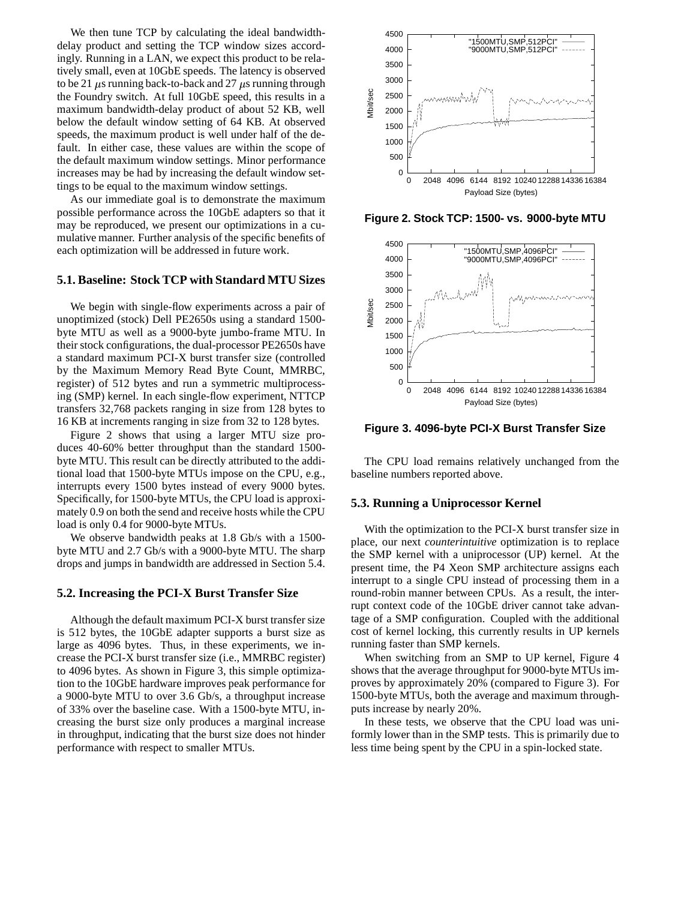We then tune TCP by calculating the ideal bandwidthdelay product and setting the TCP window sizes accordingly. Running in a LAN, we expect this product to be relatively small, even at 10GbE speeds. The latency is observed to be 21  $\mu$ s running back-to-back and 27  $\mu$ s running through the Foundry switch. At full 10GbE speed, this results in a maximum bandwidth-delay product of about 52 KB, well below the default window setting of 64 KB. At observed speeds, the maximum product is well under half of the default. In either case, these values are within the scope of the default maximum window settings. Minor performance increases may be had by increasing the default window settings to be equal to the maximum window settings.

As our immediate goal is to demonstrate the maximum possible performance across the 10GbE adapters so that it may be reproduced, we present our optimizations in a cumulative manner. Further analysis of the specific benefits of each optimization will be addressed in future work.

# **5.1. Baseline: Stock TCP with Standard MTU Sizes**

We begin with single-flow experiments across a pair of unoptimized (stock) Dell PE2650s using a standard 1500 byte MTU as well as a 9000-byte jumbo-frame MTU. In their stock configurations, the dual-processor PE2650s have a standard maximum PCI-X burst transfer size (controlled by the Maximum Memory Read Byte Count, MMRBC, register) of 512 bytes and run a symmetric multiprocessing (SMP) kernel. In each single-flow experiment, NTTCP transfers 32,768 packets ranging in size from 128 bytes to 16 KB at increments ranging in size from 32 to 128 bytes.

Figure 2 shows that using a larger MTU size produces 40-60% better throughput than the standard 1500 byte MTU. This result can be directly attributed to the additional load that 1500-byte MTUs impose on the CPU, e.g., interrupts every 1500 bytes instead of every 9000 bytes. Specifically, for 1500-byte MTUs, the CPU load is approximately 0.9 on both the send and receive hosts while the CPU load is only 0.4 for 9000-byte MTUs.

We observe bandwidth peaks at 1.8 Gb/s with a 1500 byte MTU and 2.7 Gb/s with a 9000-byte MTU. The sharp drops and jumps in bandwidth are addressed in Section 5.4.

### **5.2. Increasing the PCI-X Burst Transfer Size**

Although the default maximum PCI-X burst transfer size is 512 bytes, the 10GbE adapter supports a burst size as large as 4096 bytes. Thus, in these experiments, we increase the PCI-X burst transfer size (i.e., MMRBC register) to 4096 bytes. As shown in Figure 3, this simple optimization to the 10GbE hardware improves peak performance for a 9000-byte MTU to over 3.6 Gb/s, a throughput increase of 33% over the baseline case. With a 1500-byte MTU, increasing the burst size only produces a marginal increase in throughput, indicating that the burst size does not hinder performance with respect to smaller MTUs.



**Figure 2. Stock TCP: 1500- vs. 9000-byte MTU**



**Figure 3. 4096-byte PCI-X Burst Transfer Size**

The CPU load remains relatively unchanged from the baseline numbers reported above.

#### **5.3. Running a Uniprocessor Kernel**

With the optimization to the PCI-X burst transfer size in place, our next *counterintuitive* optimization is to replace the SMP kernel with a uniprocessor (UP) kernel. At the present time, the P4 Xeon SMP architecture assigns each interrupt to a single CPU instead of processing them in a round-robin manner between CPUs. As a result, the interrupt context code of the 10GbE driver cannot take advantage of a SMP configuration. Coupled with the additional cost of kernel locking, this currently results in UP kernels running faster than SMP kernels.

When switching from an SMP to UP kernel, Figure 4 shows that the average throughput for 9000-byte MTUs improves by approximately 20% (compared to Figure 3). For 1500-byte MTUs, both the average and maximum throughputs increase by nearly 20%.

In these tests, we observe that the CPU load was uniformly lower than in the SMP tests. This is primarily due to less time being spent by the CPU in a spin-locked state.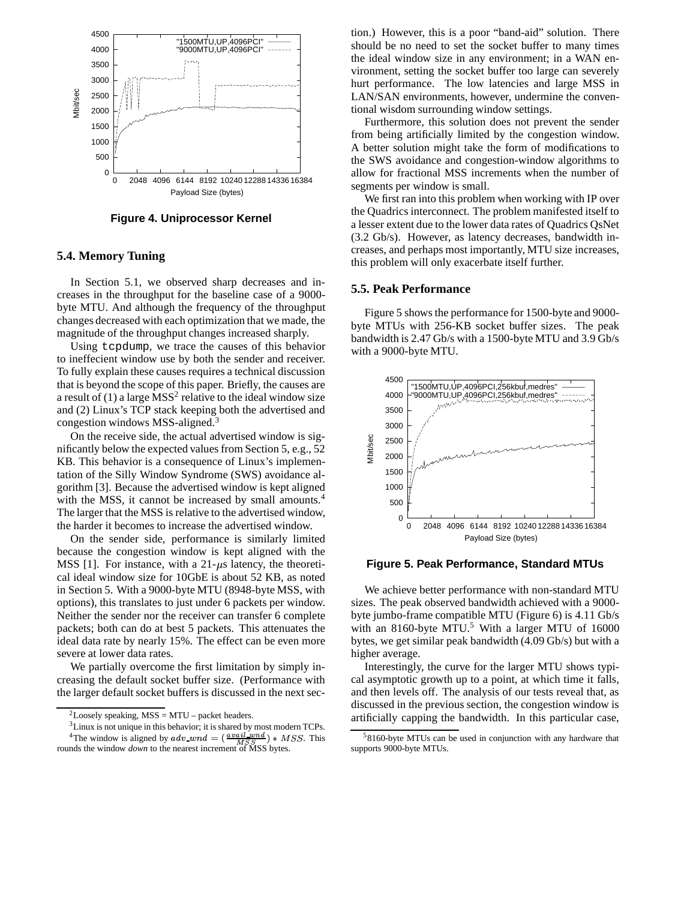

**Figure 4. Uniprocessor Kernel**

# **5.4. Memory Tuning**

In Section 5.1, we observed sharp decreases and increases in the throughput for the baseline case of a 9000 byte MTU. And although the frequency of the throughput changes decreased with each optimization that we made, the magnitude of the throughput changes increased sharply.

Using tcpdump, we trace the causes of this behavior to ineffecient window use by both the sender and receiver. To fully explain these causes requires a technical discussion that is beyond the scope of this paper. Briefly, the causes are a result of (1) a large  $MSS<sup>2</sup>$  relative to the ideal window size and (2) Linux's TCP stack keeping both the advertised and congestion windows MSS-aligned.<sup>3</sup>

On the receive side, the actual advertised window is significantly below the expected values from Section 5, e.g., 52 KB. This behavior is a consequence of Linux's implementation of the Silly Window Syndrome (SWS) avoidance algorithm [3]. Because the advertised window is kept aligned with the MSS, it cannot be increased by small amounts.<sup>4</sup> The larger that the MSS is relative to the advertised window, the harder it becomes to increase the advertised window.

On the sender side, performance is similarly limited because the congestion window is kept aligned with the MSS [1]. For instance, with a  $21-\mu s$  latency, the theoretical ideal window size for 10GbE is about 52 KB, as noted in Section 5. With a 9000-byte MTU (8948-byte MSS, with options), this translates to just under 6 packets per window. Neither the sender nor the receiver can transfer 6 complete packets; both can do at best 5 packets. This attenuates the ideal data rate by nearly 15%. The effect can be even more severe at lower data rates.

We partially overcome the first limitation by simply increasing the default socket buffer size. (Performance with the larger default socket buffers is discussed in the next section.) However, this is a poor "band-aid" solution. There should be no need to set the socket buffer to many times the ideal window size in any environment; in a WAN environment, setting the socket buffer too large can severely hurt performance. The low latencies and large MSS in LAN/SAN environments, however, undermine the conventional wisdom surrounding window settings.

Furthermore, this solution does not prevent the sender from being artificially limited by the congestion window. A better solution might take the form of modifications to the SWS avoidance and congestion-window algorithms to allow for fractional MSS increments when the number of segments per window is small.

We first ran into this problem when working with IP over the Quadrics interconnect. The problem manifested itself to a lesser extent due to the lower data rates of Quadrics QsNet (3.2 Gb/s). However, as latency decreases, bandwidth increases, and perhaps most importantly, MTU size increases, this problem will only exacerbate itself further.

#### **5.5. Peak Performance**

Figure 5 shows the performance for 1500-byte and 9000 byte MTUs with 256-KB socket buffer sizes. The peak bandwidth is 2.47 Gb/s with a 1500-byte MTU and 3.9 Gb/s with a 9000-byte MTU.



**Figure 5. Peak Performance, Standard MTUs**

We achieve better performance with non-standard MTU sizes. The peak observed bandwidth achieved with a 9000 byte jumbo-frame compatible MTU (Figure 6) is 4.11 Gb/s with an 8160-byte MTU.<sup>5</sup> With a larger MTU of 16000 bytes, we get similar peak bandwidth (4.09 Gb/s) but with a higher average.

Interestingly, the curve for the larger MTU shows typical asymptotic growth up to a point, at which time it falls, and then levels off. The analysis of our tests reveal that, as discussed in the previous section, the congestion window is artificially capping the bandwidth. In this particular case,

<sup>&</sup>lt;sup>2</sup>Loosely speaking, MSS = MTU – packet headers.

<sup>&</sup>lt;sup>3</sup> Linux is not unique in this behavior; it is shared by most modern TCPs. <sup>4</sup>The window is aligned by  $adv\_wnd = (\frac{avail\_wnd}{MSS}) * MSS$ . This rounds the window *down* to the nearest increment of MSS bytes.

<sup>&</sup>lt;sup>5</sup>8160-byte MTUs can be used in conjunction with any hardware that supports 9000-byte MTUs.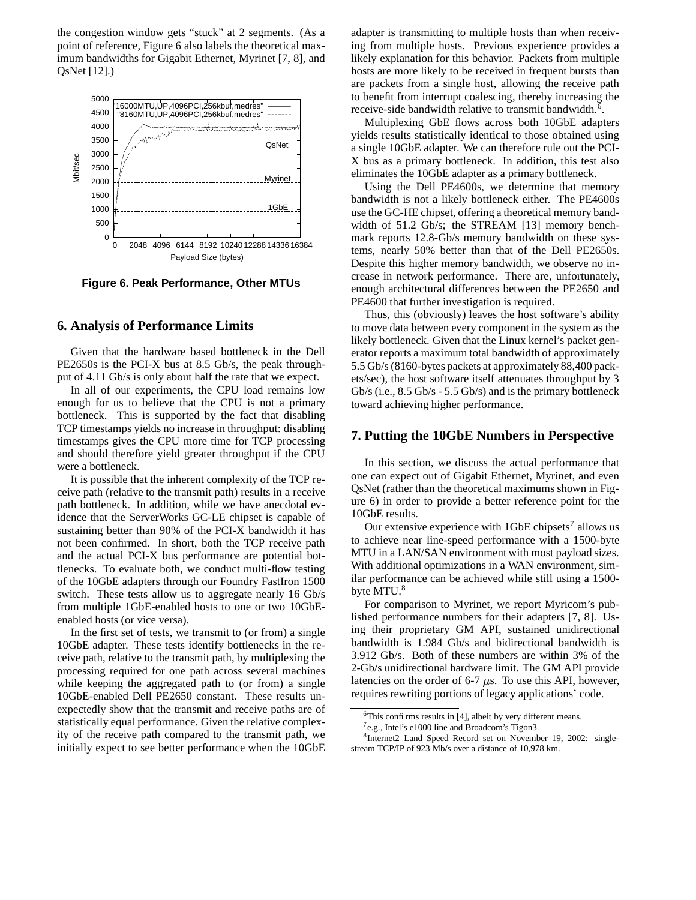the congestion window gets "stuck" at 2 segments. (As a point of reference, Figure 6 also labels the theoretical maximum bandwidths for Gigabit Ethernet, Myrinet [7, 8], and QsNet [12].)



**Figure 6. Peak Performance, Other MTUs**

# **6. Analysis of Performance Limits**

Given that the hardware based bottleneck in the Dell PE2650s is the PCI-X bus at 8.5 Gb/s, the peak throughput of 4.11 Gb/s is only about half the rate that we expect.

In all of our experiments, the CPU load remains low enough for us to believe that the CPU is not a primary bottleneck. This is supported by the fact that disabling TCP timestamps yields no increase in throughput: disabling timestamps gives the CPU more time for TCP processing and should therefore yield greater throughput if the CPU were a bottleneck.

It is possible that the inherent complexity of the TCP receive path (relative to the transmit path) results in a receive path bottleneck. In addition, while we have anecdotal evidence that the ServerWorks GC-LE chipset is capable of sustaining better than 90% of the PCI-X bandwidth it has not been confirmed. In short, both the TCP receive path and the actual PCI-X bus performance are potential bottlenecks. To evaluate both, we conduct multi-flow testing of the 10GbE adapters through our Foundry FastIron 1500 switch. These tests allow us to aggregate nearly 16 Gb/s from multiple 1GbE-enabled hosts to one or two 10GbEenabled hosts (or vice versa).

In the first set of tests, we transmit to (or from) a single 10GbE adapter. These tests identify bottlenecks in the receive path, relative to the transmit path, by multiplexing the processing required for one path across several machines while keeping the aggregated path to (or from) a single 10GbE-enabled Dell PE2650 constant. These results unexpectedly show that the transmit and receive paths are of statistically equal performance. Given the relative complexity of the receive path compared to the transmit path, we initially expect to see better performance when the 10GbE adapter is transmitting to multiple hosts than when receiving from multiple hosts. Previous experience provides a likely explanation for this behavior. Packets from multiple hosts are more likely to be received in frequent bursts than are packets from a single host, allowing the receive path to benefit from interrupt coalescing, thereby increasing the receive-side bandwidth relative to transmit bandwidth.<sup>6</sup>.

Multiplexing GbE flows across both 10GbE adapters yields results statistically identical to those obtained using a single 10GbE adapter. We can therefore rule out the PCI-X bus as a primary bottleneck. In addition, this test also eliminates the 10GbE adapter as a primary bottleneck.

Using the Dell PE4600s, we determine that memory bandwidth is not a likely bottleneck either. The PE4600s use the GC-HE chipset, offering a theoretical memory bandwidth of 51.2 Gb/s; the STREAM [13] memory benchmark reports 12.8-Gb/s memory bandwidth on these systems, nearly 50% better than that of the Dell PE2650s. Despite this higher memory bandwidth, we observe no increase in network performance. There are, unfortunately, enough architectural differences between the PE2650 and PE4600 that further investigation is required.

Thus, this (obviously) leaves the host software's ability to move data between every component in the system as the likely bottleneck. Given that the Linux kernel's packet generator reports a maximum total bandwidth of approximately 5.5 Gb/s(8160-bytes packets at approximately 88,400 packets/sec), the host software itself attenuates throughput by 3 Gb/s (i.e., 8.5 Gb/s - 5.5 Gb/s) and is the primary bottleneck toward achieving higher performance.

### **7. Putting the 10GbE Numbers in Perspective**

In this section, we discuss the actual performance that one can expect out of Gigabit Ethernet, Myrinet, and even QsNet (rather than the theoretical maximums shown in Figure 6) in order to provide a better reference point for the 10GbE results.

Our extensive experience with  $1 \text{GbE}$  chipsets<sup>7</sup> allows us to achieve near line-speed performance with a 1500-byte MTU in a LAN/SAN environment with most payload sizes. With additional optimizations in a WAN environment, similar performance can be achieved while still using a 1500 byte MTU.<sup>8</sup>

For comparison to Myrinet, we report Myricom's published performance numbers for their adapters [7, 8]. Using their proprietary GM API, sustained unidirectional bandwidth is 1.984 Gb/s and bidirectional bandwidth is 3.912 Gb/s. Both of these numbers are within 3% of the 2-Gb/s unidirectional hardware limit. The GM API provide latencies on the order of 6-7  $\mu$ s. To use this API, however, requires rewriting portions of legacy applications' code.

 $6$ This confirms results in [4], albeit by very different means.

<sup>&</sup>lt;sup>7</sup>e.g., Intel's e1000 line and Broadcom's Tigon3

<sup>8</sup> Internet2 Land Speed Record set on November 19, 2002: singlestream TCP/IP of 923 Mb/s over a distance of 10,978 km.